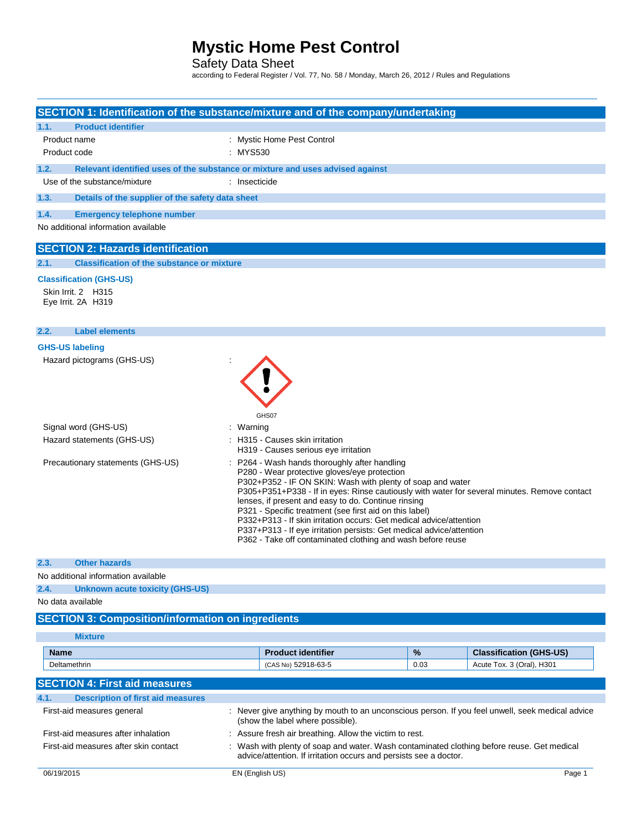Safety Data Sheet

according to Federal Register / Vol. 77, No. 58 / Monday, March 26, 2012 / Rules and Regulations

| SECTION 1: Identification of the substance/mixture and of the company/undertaking |                                                                                                                                                                                                                                                                                                                                                                                                                                                                                                                                                                                           |      |                                                             |
|-----------------------------------------------------------------------------------|-------------------------------------------------------------------------------------------------------------------------------------------------------------------------------------------------------------------------------------------------------------------------------------------------------------------------------------------------------------------------------------------------------------------------------------------------------------------------------------------------------------------------------------------------------------------------------------------|------|-------------------------------------------------------------|
| <b>Product identifier</b><br>1.1.                                                 |                                                                                                                                                                                                                                                                                                                                                                                                                                                                                                                                                                                           |      |                                                             |
| Product name<br>Product code                                                      | : Mystic Home Pest Control<br>: MYS530                                                                                                                                                                                                                                                                                                                                                                                                                                                                                                                                                    |      |                                                             |
|                                                                                   |                                                                                                                                                                                                                                                                                                                                                                                                                                                                                                                                                                                           |      |                                                             |
| 1.2.                                                                              | Relevant identified uses of the substance or mixture and uses advised against                                                                                                                                                                                                                                                                                                                                                                                                                                                                                                             |      |                                                             |
| Use of the substance/mixture                                                      | : Insecticide                                                                                                                                                                                                                                                                                                                                                                                                                                                                                                                                                                             |      |                                                             |
| 1.3.<br>Details of the supplier of the safety data sheet                          |                                                                                                                                                                                                                                                                                                                                                                                                                                                                                                                                                                                           |      |                                                             |
| 1.4.<br><b>Emergency telephone number</b>                                         |                                                                                                                                                                                                                                                                                                                                                                                                                                                                                                                                                                                           |      |                                                             |
| No additional information available                                               |                                                                                                                                                                                                                                                                                                                                                                                                                                                                                                                                                                                           |      |                                                             |
|                                                                                   |                                                                                                                                                                                                                                                                                                                                                                                                                                                                                                                                                                                           |      |                                                             |
| <b>SECTION 2: Hazards identification</b>                                          |                                                                                                                                                                                                                                                                                                                                                                                                                                                                                                                                                                                           |      |                                                             |
| <b>Classification of the substance or mixture</b><br>2.1.                         |                                                                                                                                                                                                                                                                                                                                                                                                                                                                                                                                                                                           |      |                                                             |
| <b>Classification (GHS-US)</b>                                                    |                                                                                                                                                                                                                                                                                                                                                                                                                                                                                                                                                                                           |      |                                                             |
| Skin Irrit. 2 H315                                                                |                                                                                                                                                                                                                                                                                                                                                                                                                                                                                                                                                                                           |      |                                                             |
| Eye Irrit. 2A H319                                                                |                                                                                                                                                                                                                                                                                                                                                                                                                                                                                                                                                                                           |      |                                                             |
|                                                                                   |                                                                                                                                                                                                                                                                                                                                                                                                                                                                                                                                                                                           |      |                                                             |
| <b>Label elements</b><br>2.2.                                                     |                                                                                                                                                                                                                                                                                                                                                                                                                                                                                                                                                                                           |      |                                                             |
| <b>GHS-US labeling</b>                                                            |                                                                                                                                                                                                                                                                                                                                                                                                                                                                                                                                                                                           |      |                                                             |
| Hazard pictograms (GHS-US)                                                        |                                                                                                                                                                                                                                                                                                                                                                                                                                                                                                                                                                                           |      |                                                             |
|                                                                                   | GHS07                                                                                                                                                                                                                                                                                                                                                                                                                                                                                                                                                                                     |      |                                                             |
| Signal word (GHS-US)                                                              | : Warning                                                                                                                                                                                                                                                                                                                                                                                                                                                                                                                                                                                 |      |                                                             |
| Hazard statements (GHS-US)                                                        | : H315 - Causes skin irritation<br>H319 - Causes serious eye irritation                                                                                                                                                                                                                                                                                                                                                                                                                                                                                                                   |      |                                                             |
| Precautionary statements (GHS-US)                                                 | P264 - Wash hands thoroughly after handling<br>P280 - Wear protective gloves/eye protection<br>P302+P352 - IF ON SKIN: Wash with plenty of soap and water<br>P305+P351+P338 - If in eyes: Rinse cautiously with water for several minutes. Remove contact<br>lenses, if present and easy to do. Continue rinsing<br>P321 - Specific treatment (see first aid on this label)<br>P332+P313 - If skin irritation occurs: Get medical advice/attention<br>P337+P313 - If eye irritation persists: Get medical advice/attention<br>P362 - Take off contaminated clothing and wash before reuse |      |                                                             |
| 2.3.<br><b>Other hazards</b>                                                      |                                                                                                                                                                                                                                                                                                                                                                                                                                                                                                                                                                                           |      |                                                             |
| No additional information available                                               |                                                                                                                                                                                                                                                                                                                                                                                                                                                                                                                                                                                           |      |                                                             |
| 2.4.<br><b>Unknown acute toxicity (GHS-US)</b>                                    |                                                                                                                                                                                                                                                                                                                                                                                                                                                                                                                                                                                           |      |                                                             |
| No data available                                                                 |                                                                                                                                                                                                                                                                                                                                                                                                                                                                                                                                                                                           |      |                                                             |
| <b>SECTION 3: Composition/information on ingredients</b>                          |                                                                                                                                                                                                                                                                                                                                                                                                                                                                                                                                                                                           |      |                                                             |
| <b>Mixture</b>                                                                    |                                                                                                                                                                                                                                                                                                                                                                                                                                                                                                                                                                                           |      |                                                             |
|                                                                                   |                                                                                                                                                                                                                                                                                                                                                                                                                                                                                                                                                                                           |      |                                                             |
| <b>Name</b>                                                                       | <b>Product identifier</b>                                                                                                                                                                                                                                                                                                                                                                                                                                                                                                                                                                 | $\%$ | <b>Classification (GHS-US)</b><br>Acute Tox. 3 (Oral), H301 |
| Deltamethrin                                                                      | (CAS No) 52918-63-5                                                                                                                                                                                                                                                                                                                                                                                                                                                                                                                                                                       | 0.03 |                                                             |

| <b>SECTION 4: First aid measures</b>             |                                                                                                                                                                 |        |
|--------------------------------------------------|-----------------------------------------------------------------------------------------------------------------------------------------------------------------|--------|
| <b>Description of first aid measures</b><br>4.1. |                                                                                                                                                                 |        |
| First-aid measures general                       | : Never give anything by mouth to an unconscious person. If you feel unwell, seek medical advice<br>(show the label where possible).                            |        |
| First-aid measures after inhalation              | : Assure fresh air breathing. Allow the victim to rest.                                                                                                         |        |
| First-aid measures after skin contact            | : Wash with plenty of soap and water. Wash contaminated clothing before reuse. Get medical<br>advice/attention. If irritation occurs and persists see a doctor. |        |
| 06/19/2015                                       | EN (English US)                                                                                                                                                 | Page 1 |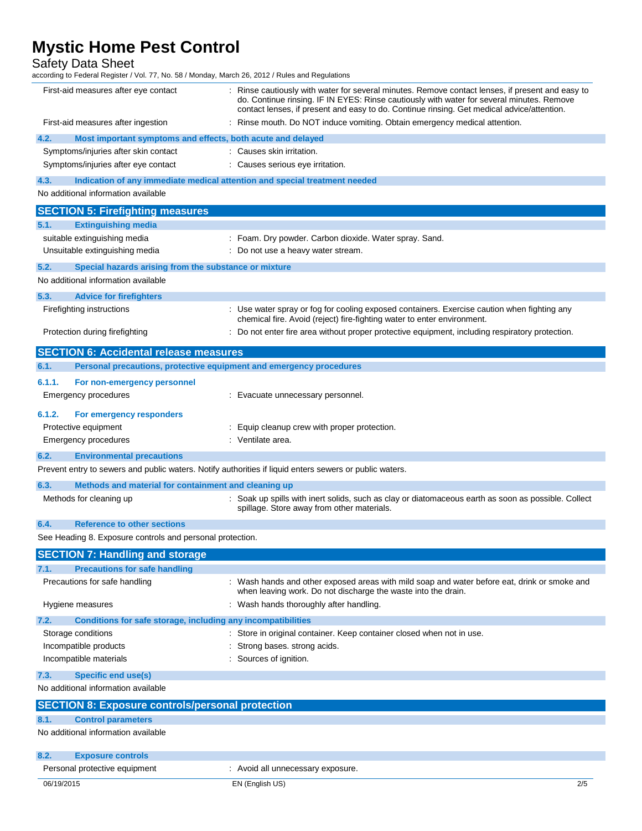Safety Data Sheet

according to Federal Register / Vol. 77, No. 58 / Monday, March 26, 2012 / Rules and Regulations

| First-aid measures after eye contact                                                                    | : Rinse cautiously with water for several minutes. Remove contact lenses, if present and easy to<br>do. Continue rinsing. IF IN EYES: Rinse cautiously with water for several minutes. Remove<br>contact lenses, if present and easy to do. Continue rinsing. Get medical advice/attention. |
|---------------------------------------------------------------------------------------------------------|---------------------------------------------------------------------------------------------------------------------------------------------------------------------------------------------------------------------------------------------------------------------------------------------|
| First-aid measures after ingestion                                                                      | Rinse mouth. Do NOT induce vomiting. Obtain emergency medical attention.                                                                                                                                                                                                                    |
| 4.2.<br>Most important symptoms and effects, both acute and delayed                                     |                                                                                                                                                                                                                                                                                             |
| Symptoms/injuries after skin contact                                                                    | : Causes skin irritation.                                                                                                                                                                                                                                                                   |
| Symptoms/injuries after eye contact                                                                     | : Causes serious eye irritation.                                                                                                                                                                                                                                                            |
| 4.3.                                                                                                    | Indication of any immediate medical attention and special treatment needed                                                                                                                                                                                                                  |
| No additional information available                                                                     |                                                                                                                                                                                                                                                                                             |
| <b>SECTION 5: Firefighting measures</b>                                                                 |                                                                                                                                                                                                                                                                                             |
| <b>Extinguishing media</b><br>5.1.                                                                      |                                                                                                                                                                                                                                                                                             |
| suitable extinguishing media                                                                            | : Foam. Dry powder. Carbon dioxide. Water spray. Sand.                                                                                                                                                                                                                                      |
| Unsuitable extinguishing media                                                                          | : Do not use a heavy water stream.                                                                                                                                                                                                                                                          |
| Special hazards arising from the substance or mixture<br>5.2.                                           |                                                                                                                                                                                                                                                                                             |
| No additional information available                                                                     |                                                                                                                                                                                                                                                                                             |
| 5.3.<br><b>Advice for firefighters</b>                                                                  |                                                                                                                                                                                                                                                                                             |
| Firefighting instructions                                                                               | : Use water spray or fog for cooling exposed containers. Exercise caution when fighting any                                                                                                                                                                                                 |
|                                                                                                         | chemical fire. Avoid (reject) fire-fighting water to enter environment.                                                                                                                                                                                                                     |
| Protection during firefighting                                                                          | : Do not enter fire area without proper protective equipment, including respiratory protection.                                                                                                                                                                                             |
| <b>SECTION 6: Accidental release measures</b>                                                           |                                                                                                                                                                                                                                                                                             |
| Personal precautions, protective equipment and emergency procedures<br>6.1.                             |                                                                                                                                                                                                                                                                                             |
| 6.1.1.<br>For non-emergency personnel                                                                   |                                                                                                                                                                                                                                                                                             |
| Emergency procedures                                                                                    | : Evacuate unnecessary personnel.                                                                                                                                                                                                                                                           |
|                                                                                                         |                                                                                                                                                                                                                                                                                             |
| 6.1.2.<br>For emergency responders                                                                      |                                                                                                                                                                                                                                                                                             |
| Protective equipment                                                                                    | Equip cleanup crew with proper protection.                                                                                                                                                                                                                                                  |
| Emergency procedures                                                                                    | : Ventilate area.                                                                                                                                                                                                                                                                           |
| 6.2.<br><b>Environmental precautions</b>                                                                |                                                                                                                                                                                                                                                                                             |
| Prevent entry to sewers and public waters. Notify authorities if liquid enters sewers or public waters. |                                                                                                                                                                                                                                                                                             |
| 6.3.<br>Methods and material for containment and cleaning up                                            |                                                                                                                                                                                                                                                                                             |
| Methods for cleaning up                                                                                 | : Soak up spills with inert solids, such as clay or diatomaceous earth as soon as possible. Collect<br>spillage. Store away from other materials.                                                                                                                                           |
| <b>Reference to other sections</b><br>6.4.                                                              |                                                                                                                                                                                                                                                                                             |
| See Heading 8. Exposure controls and personal protection.                                               |                                                                                                                                                                                                                                                                                             |
| <b>SECTION 7: Handling and storage</b>                                                                  |                                                                                                                                                                                                                                                                                             |
| 7.1.<br><b>Precautions for safe handling</b>                                                            |                                                                                                                                                                                                                                                                                             |
| Precautions for safe handling                                                                           | : Wash hands and other exposed areas with mild soap and water before eat, drink or smoke and<br>when leaving work. Do not discharge the waste into the drain.                                                                                                                               |
| Hygiene measures                                                                                        | : Wash hands thoroughly after handling.                                                                                                                                                                                                                                                     |
| Conditions for safe storage, including any incompatibilities<br>7.2.                                    |                                                                                                                                                                                                                                                                                             |
| Storage conditions                                                                                      | Store in original container. Keep container closed when not in use.                                                                                                                                                                                                                         |
| Incompatible products                                                                                   | Strong bases. strong acids.                                                                                                                                                                                                                                                                 |
| Incompatible materials                                                                                  | : Sources of ignition.                                                                                                                                                                                                                                                                      |
| <b>Specific end use(s)</b><br>7.3.                                                                      |                                                                                                                                                                                                                                                                                             |
| No additional information available                                                                     |                                                                                                                                                                                                                                                                                             |
| <b>SECTION 8: Exposure controls/personal protection</b>                                                 |                                                                                                                                                                                                                                                                                             |
| 8.1.<br><b>Control parameters</b>                                                                       |                                                                                                                                                                                                                                                                                             |
| No additional information available                                                                     |                                                                                                                                                                                                                                                                                             |
| 8.2.<br><b>Exposure controls</b>                                                                        |                                                                                                                                                                                                                                                                                             |
| Personal protective equipment                                                                           | : Avoid all unnecessary exposure.                                                                                                                                                                                                                                                           |
| 06/19/2015                                                                                              | 2/5<br>EN (English US)                                                                                                                                                                                                                                                                      |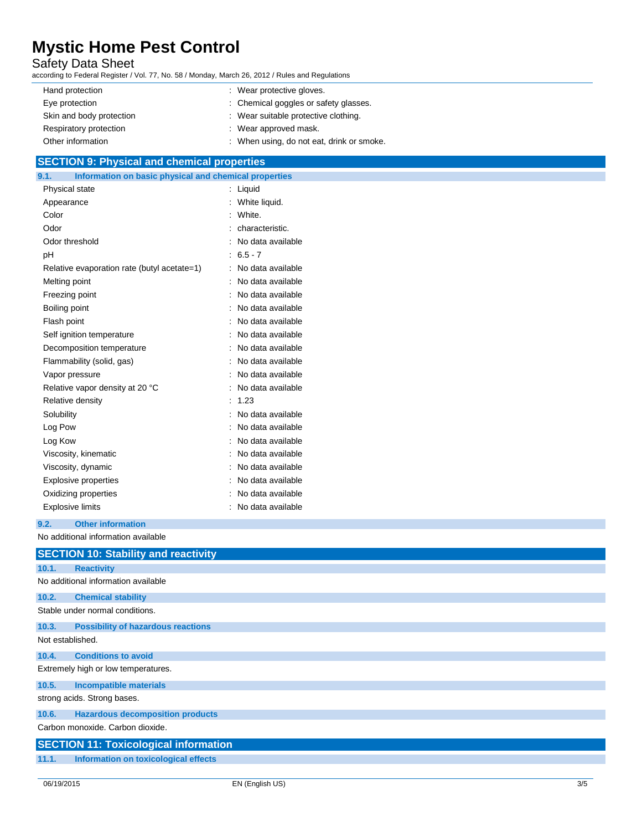# Safety Data Sheet

according to Federal Register / Vol. 77, No. 58 / Monday, March 26, 2012 / Rules and Regulations

| Hand protection          | : Wear protective gloves.                 |
|--------------------------|-------------------------------------------|
| Eye protection           | : Chemical goggles or safety glasses.     |
| Skin and body protection | : Wear suitable protective clothing.      |
| Respiratory protection   | : Wear approved mask.                     |
| Other information        | : When using, do not eat, drink or smoke. |

## **SECTION 9: Physical and chemical properties**

| Information on basic physical and chemical properties<br>9.1. |                     |
|---------------------------------------------------------------|---------------------|
| Physical state                                                | : Liquid            |
| Appearance                                                    | : White liquid.     |
| Color                                                         | White.              |
| Odor                                                          | : characteristic.   |
| Odor threshold                                                | : No data available |
| pH                                                            | $: 6.5 - 7$         |
| Relative evaporation rate (butyl acetate=1)                   | : No data available |
| Melting point                                                 | : No data available |
| Freezing point                                                | No data available   |
| Boiling point                                                 | No data available   |
| Flash point                                                   | : No data available |
| Self ignition temperature                                     | No data available   |
| Decomposition temperature                                     | No data available   |
| Flammability (solid, gas)                                     | No data available   |
| Vapor pressure                                                | : No data available |
| Relative vapor density at 20 °C                               | : No data available |
| Relative density                                              | 1.23                |
| Solubility                                                    | No data available   |
| Log Pow                                                       | No data available   |
| Log Kow                                                       | : No data available |
| Viscosity, kinematic                                          | No data available   |
| Viscosity, dynamic                                            | No data available   |
| <b>Explosive properties</b>                                   | : No data available |
| Oxidizing properties                                          | No data available   |
| <b>Explosive limits</b>                                       | No data available   |
|                                                               |                     |

### **9.2. Other information**

No additional information available

|                  | <b>SECTION 10: Stability and reactivity</b>  |
|------------------|----------------------------------------------|
| 10.1.            | <b>Reactivity</b>                            |
|                  | No additional information available          |
| 10.2.            | <b>Chemical stability</b>                    |
|                  | Stable under normal conditions.              |
| 10.3.            | <b>Possibility of hazardous reactions</b>    |
| Not established. |                                              |
| 10.4.            | <b>Conditions to avoid</b>                   |
|                  | Extremely high or low temperatures.          |
| 10.5.            | <b>Incompatible materials</b>                |
|                  | strong acids. Strong bases.                  |
| 10.6.            | <b>Hazardous decomposition products</b>      |
|                  | Carbon monoxide, Carbon dioxide,             |
|                  | <b>SECTION 11: Toxicological information</b> |
| 11.1.            | Information on toxicological effects         |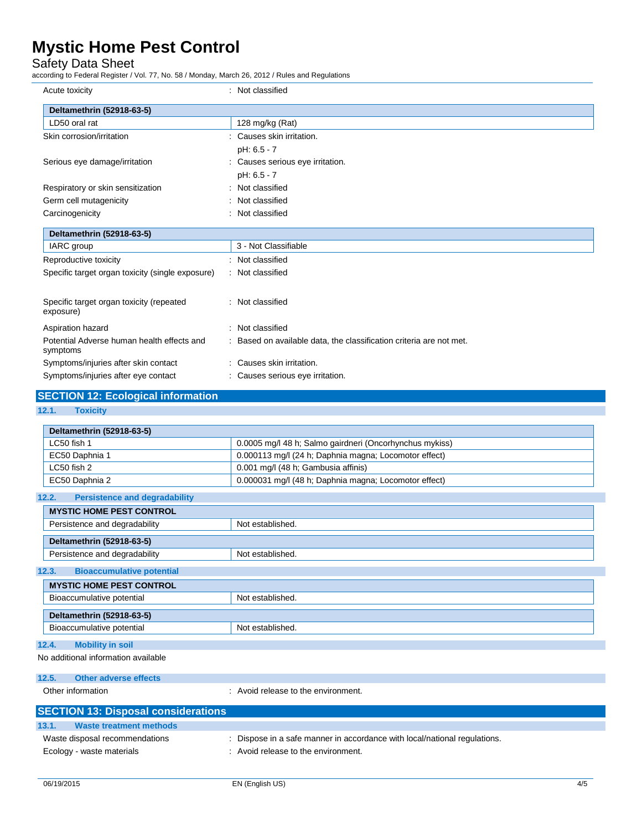Safety Data Sheet

according to Federal Register / Vol. 77, No. 58 / Monday, March 26, 2012 / Rules and Regulations

| Acute toxicity                                         | : Not classified                                                    |
|--------------------------------------------------------|---------------------------------------------------------------------|
| Deltamethrin (52918-63-5)                              |                                                                     |
| LD50 oral rat                                          | 128 mg/kg (Rat)                                                     |
| Skin corrosion/irritation                              | : Causes skin irritation.                                           |
|                                                        | pH: 6.5 - 7                                                         |
| Serious eye damage/irritation                          | : Causes serious eye irritation.                                    |
|                                                        | pH: 6.5 - 7                                                         |
| Respiratory or skin sensitization                      | : Not classified                                                    |
| Germ cell mutagenicity                                 | : Not classified                                                    |
| Carcinogenicity                                        | : Not classified                                                    |
| Deltamethrin (52918-63-5)                              |                                                                     |
| <b>IARC</b> group                                      | 3 - Not Classifiable                                                |
| Reproductive toxicity                                  | : Not classified                                                    |
| Specific target organ toxicity (single exposure)       | : Not classified                                                    |
|                                                        |                                                                     |
| Specific target organ toxicity (repeated<br>exposure)  | : Not classified                                                    |
| Aspiration hazard                                      | : Not classified                                                    |
| Potential Adverse human health effects and<br>symptoms | : Based on available data, the classification criteria are not met. |
| Symptoms/injuries after skin contact                   | : Causes skin irritation.                                           |
| Symptoms/injuries after eye contact                    | : Causes serious eye irritation.                                    |
| <b>SECTION 12: Ecological information</b>              |                                                                     |
|                                                        |                                                                     |

**12.1. Toxicity**

| Deltamethrin (52918-63-5)                     |                                                         |
|-----------------------------------------------|---------------------------------------------------------|
| LC50 fish 1                                   | 0.0005 mg/l 48 h; Salmo gairdneri (Oncorhynchus mykiss) |
| EC50 Daphnia 1                                | 0.000113 mg/l (24 h; Daphnia magna; Locomotor effect)   |
| $LC50$ fish 2                                 | 0.001 mg/l (48 h; Gambusia affinis)                     |
| EC50 Daphnia 2                                | 0.000031 mg/l (48 h; Daphnia magna; Locomotor effect)   |
| 12.2.<br><b>Persistence and degradability</b> |                                                         |

| <b>MYSTIC HOME PEST CONTROL</b>           |                  |  |
|-------------------------------------------|------------------|--|
| Persistence and degradability             | Not established. |  |
| Deltamethrin (52918-63-5)                 |                  |  |
| Persistence and degradability             | Not established. |  |
| <b>Bioaccumulative potential</b><br>12.3. |                  |  |
| <b>MYSTIC HOME PEST CONTROL</b>           |                  |  |
| Bioaccumulative potential                 | Not established. |  |
| Deltamethrin (52918-63-5)                 |                  |  |
| Bioaccumulative potential                 | Not established. |  |
| 12.4.<br><b>Mobility in soil</b>          |                  |  |
| No additional information available       |                  |  |

| 12.5. | Other adverse effects               |                                   |
|-------|-------------------------------------|-----------------------------------|
|       | Other information                   | Avoid release to the environment. |
|       | SECTION 13: Disnosal considerations |                                   |

| <b>PLUTION 19. Disposal considerations</b> |                                                                           |
|--------------------------------------------|---------------------------------------------------------------------------|
| 13.1.<br>Waste treatment methods           |                                                                           |
| Waste disposal recommendations             | : Dispose in a safe manner in accordance with local/national regulations. |
| Ecology - waste materials                  | Avoid release to the environment.                                         |